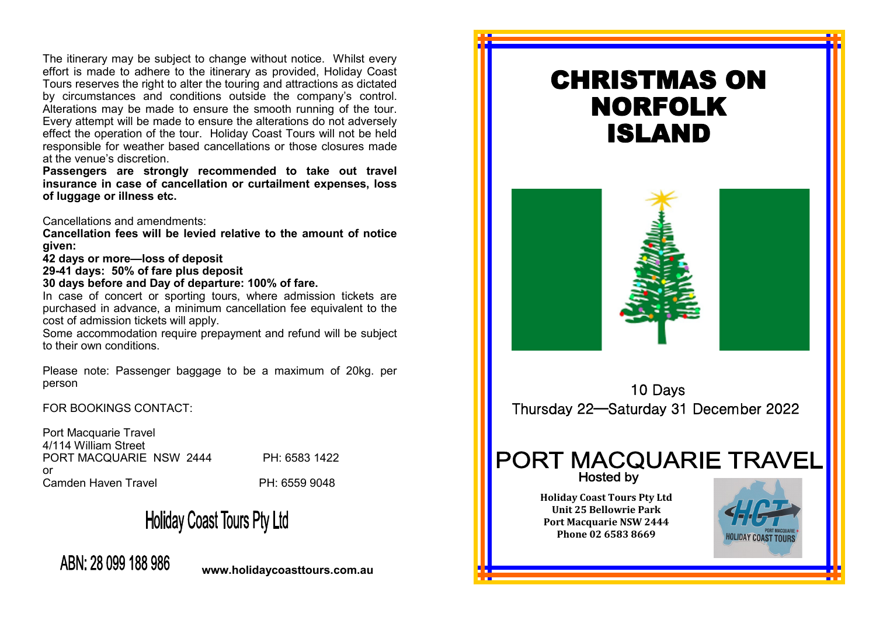The itinerary may be subject to change without notice. Whilst every effort is made to adhere to the itinerary as provided, Holiday Coast Tours reserves the right to alter the touring and attractions as dictated by circumstances and conditions outside the company's control. Alterations may be made to ensure the smooth running of the tour. Every attempt will be made to ensure the alterations do not adversely effect the operation of the tour. Holiday Coast Tours will not be held responsible for weather based cancellations or those closures made at the venue's discretion.

**Passengers are strongly recommended to take out travel insurance in case of cancellation or curtailment expenses, loss of luggage or illness etc.** 

Cancellations and amendments:

**Cancellation fees will be levied relative to the amount of notice given:**

**42 days or more—loss of deposit**

**29-41 days: 50% of fare plus deposit**

**30 days before and Day of departure: 100% of fare.**

In case of concert or sporting tours, where admission tickets are purchased in advance, a minimum cancellation fee equivalent to the cost of admission tickets will apply.

Some accommodation require prepayment and refund will be subject to their own conditions.

Please note: Passenger baggage to be a maximum of 20kg. per person

FOR BOOKINGS CONTACT:

Port Macquarie Travel 4/114 William Street PORT MACQUARIE NSW 2444 PH: 6583 1422 or Camden Haven Travel **PH: 6559 9048** 

# **Holiday Coast Tours Pty Ltd**

# ABN: 28 099 188 986

**www.holidaycoasttours.com.au**

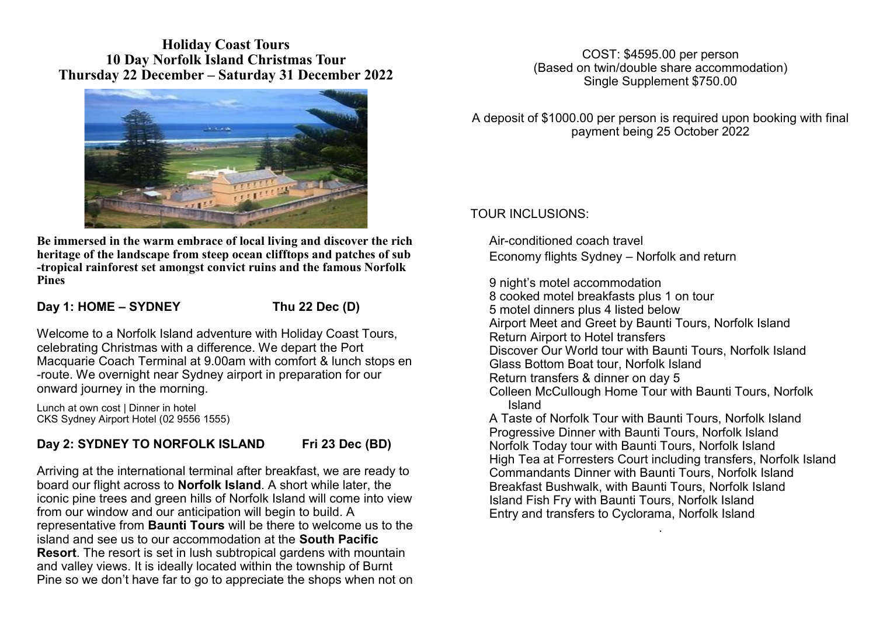### **Holiday Coast Tours 10 Day Norfolk Island Christmas Tour Thursday 22 December – Saturday 31 December 2022**



**Be immersed in the warm embrace of local living and discover the rich heritage of the landscape from steep ocean clifftops and patches of sub -tropical rainforest set amongst convict ruins and the famous Norfolk Pines**

#### **Day 1: HOME – SYDNEY Thu 22 Dec (D)**

Welcome to a Norfolk Island adventure with Holiday Coast Tours, celebrating Christmas with a difference. We depart the Port Macquarie Coach Terminal at 9.00am with comfort & lunch stops en -route. We overnight near Sydney airport in preparation for our onward journey in the morning.

Lunch at own cost | Dinner in hotel CKS Sydney Airport Hotel (02 9556 1555)

# **Day 2: SYDNEY TO NORFOLK ISLAND Fri 23 Dec (BD)**

Arriving at the international terminal after breakfast, we are ready to board our flight across to **Norfolk Island**. A short while later, the iconic pine trees and green hills of Norfolk Island will come into view from our window and our anticipation will begin to build. A representative from **Baunti Tours** will be there to welcome us to the island and see us to our accommodation at the **South Pacific Resort**. The resort is set in lush subtropical gardens with mountain and valley views. It is ideally located within the township of Burnt Pine so we don't have far to go to appreciate the shops when not on

COST: \$4595.00 per person (Based on twin/double share accommodation) Single Supplement \$750.00

A deposit of \$1000.00 per person is required upon booking with final payment being 25 October 2022

## TOUR INCLUSIONS:

Air-conditioned coach travel Economy flights Sydney – Norfolk and return

9 night's motel accommodation 8 cooked motel breakfasts plus 1 on tour 5 motel dinners plus 4 listed below Airport Meet and Greet by Baunti Tours, Norfolk Island Return Airport to Hotel transfers Discover Our World tour with Baunti Tours, Norfolk Island Glass Bottom Boat tour, Norfolk Island Return transfers & dinner on day 5 Colleen McCullough Home Tour with Baunti Tours, Norfolk Island A Taste of Norfolk Tour with Baunti Tours, Norfolk Island

Progressive Dinner with Baunti Tours, Norfolk Island Norfolk Today tour with Baunti Tours, Norfolk Island High Tea at Forresters Court including transfers, Norfolk Island Commandants Dinner with Baunti Tours, Norfolk Island Breakfast Bushwalk, with Baunti Tours, Norfolk Island Island Fish Fry with Baunti Tours, Norfolk Island Entry and transfers to Cyclorama, Norfolk Island .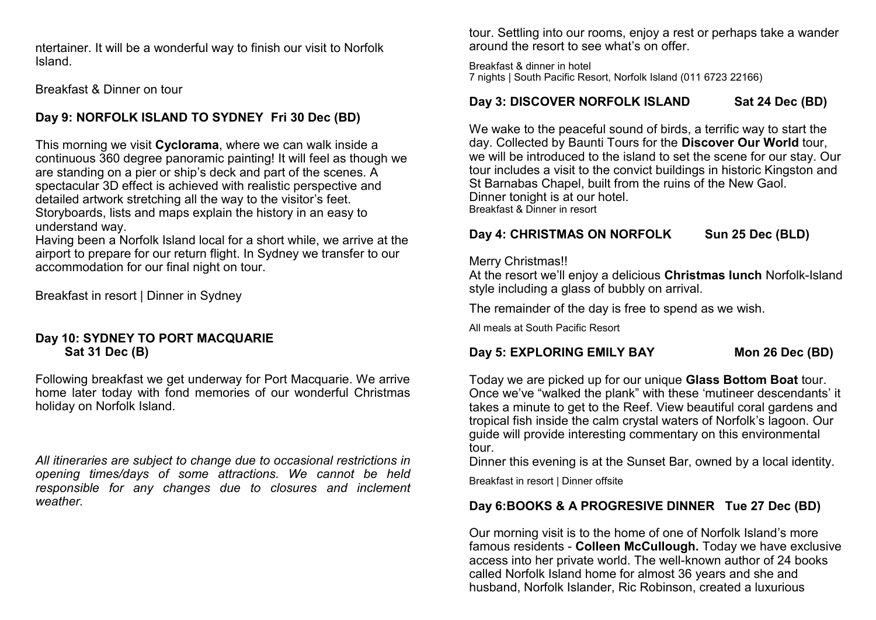ntertainer. It will be a wonderful way to finish our visit to Norfolk Island.

#### Breakfast & Dinner on tour

# **Day 9: NORFOLK ISLAND TO SYDNEY Fri 30 Dec (BD)**

This morning we visit **Cyclorama**, where we can walk inside a continuous 360 degree panoramic painting! It will feel as though we are standing on a pier or ship's deck and part of the scenes. A spectacular 3D effect is achieved with realistic perspective and detailed artwork stretching all the way to the visitor's feet. Storyboards, lists and maps explain the history in an easy to understand way.

Having been a Norfolk Island local for a short while, we arrive at the airport to prepare for our return flight. In Sydney we transfer to our accommodation for our final night on tour.

Breakfast in resort | Dinner in Sydney

#### **Day 10: SYDNEY TO PORT MACQUARIE Sat 31 Dec (B)**

Following breakfast we get underway for Port Macquarie. We arrive home later today with fond memories of our wonderful Christmas holiday on Norfolk Island.

*All itineraries are subject to change due to occasional restrictions in opening times/days of some attractions. We cannot be held responsible for any changes due to closures and inclement weather.*

tour. Settling into our rooms, enjoy a rest or perhaps take a wander around the resort to see what's on offer.

Breakfast & dinner in hotel 7 nights | South Pacific Resort, Norfolk Island (011 6723 22166)

# **Day 3: DISCOVER NORFOLK ISLAND Sat 24 Dec (BD)**

We wake to the peaceful sound of birds, a terrific way to start the day. Collected by Baunti Tours for the **Discover Our World** tour, we will be introduced to the island to set the scene for our stay. Our tour includes a visit to the convict buildings in historic Kingston and St Barnabas Chapel, built from the ruins of the New Gaol. Dinner tonight is at our hotel. Breakfast & Dinner in resort

# Day 4: CHRISTMAS ON NORFOLK Sun 25 Dec (BLD)

#### Merry Christmas!!

At the resort we'll enjoy a delicious **Christmas lunch** Norfolk-Island style including a glass of bubbly on arrival.

The remainder of the day is free to spend as we wish.

All meals at South Pacific Resort

# **Day 5: EXPLORING EMILY BAY Mon 26 Dec (BD)**

Today we are picked up for our unique **Glass Bottom Boat** tour. Once we've "walked the plank" with these 'mutineer descendants' it takes a minute to get to the Reef. View beautiful coral gardens and tropical fish inside the calm crystal waters of Norfolk's lagoon. Our guide will provide interesting commentary on this environmental tour.

Dinner this evening is at the Sunset Bar, owned by a local identity.

Breakfast in resort | Dinner offsite

# **Day 6:BOOKS & A PROGRESIVE DINNER Tue 27 Dec (BD)**

Our morning visit is to the home of one of Norfolk Island's more famous residents - **Colleen McCullough.** Today we have exclusive access into her private world. The well-known author of 24 books called Norfolk Island home for almost 36 years and she and husband, Norfolk Islander, Ric Robinson, created a luxurious